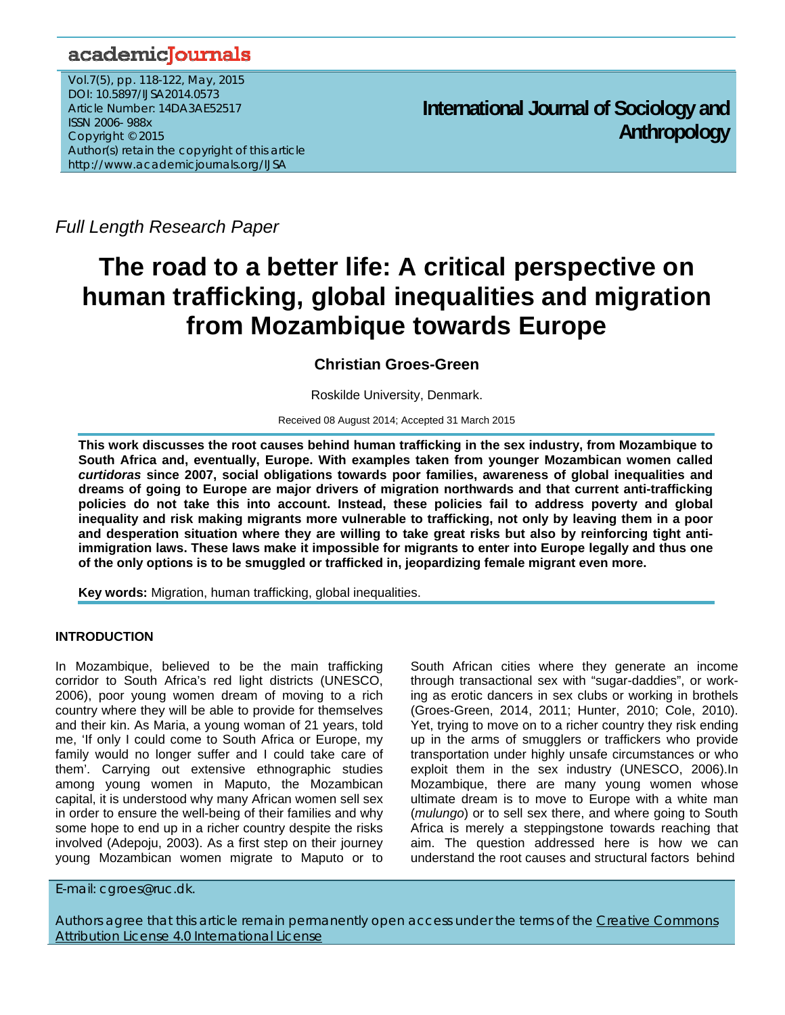## academicJournals

Vol.7(5), pp. 118-122, May, 2015 DOI: 10.5897/IJSA2014.0573 Article Number: 14DA3AE52517 ISSN 2006- 988x Copyright © 2015 Author(s) retain the copyright of this article http://www.academicjournals.org/IJSA

**International Journal of Sociology and Anthropology**

*Full Length Research Paper*

# **The road to a better life: A critical perspective on human trafficking, global inequalities and migration from Mozambique towards Europe**

### **Christian Groes-Green**

Roskilde University, Denmark.

Received 08 August 2014; Accepted 31 March 2015

**This work discusses the root causes behind human trafficking in the sex industry, from Mozambique to South Africa and, eventually, Europe. With examples taken from younger Mozambican women called**  *curtidoras* **since 2007, social obligations towards poor families, awareness of global inequalities and dreams of going to Europe are major drivers of migration northwards and that current anti-trafficking policies do not take this into account. Instead, these policies fail to address poverty and global inequality and risk making migrants more vulnerable to trafficking, not only by leaving them in a poor and desperation situation where they are willing to take great risks but also by reinforcing tight antiimmigration laws. These laws make it impossible for migrants to enter into Europe legally and thus one of the only options is to be smuggled or trafficked in, jeopardizing female migrant even more.** 

**Key words:** Migration, human trafficking, global inequalities.

#### **INTRODUCTION**

In Mozambique, believed to be the main trafficking corridor to South Africa's red light districts (UNESCO, 2006), poor young women dream of moving to a rich country where they will be able to provide for themselves and their kin. As Maria, a young woman of 21 years, told me, 'If only I could come to South Africa or Europe, my family would no longer suffer and I could take care of them'. Carrying out extensive ethnographic studies among young women in Maputo, the Mozambican capital, it is understood why many African women sell sex in order to ensure the well-being of their families and why some hope to end up in a richer country despite the risks involved (Adepoju, 2003). As a first step on their journey young Mozambican women migrate to Maputo or to

South African cities where they generate an income through transactional sex with "sugar-daddies", or working as erotic dancers in sex clubs or working in brothels (Groes-Green, 2014, 2011; Hunter, 2010; Cole, 2010). Yet, trying to move on to a richer country they risk ending up in the arms of smugglers or traffickers who provide transportation under highly unsafe circumstances or who exploit them in the sex industry (UNESCO, 2006).In Mozambique, there are many young women whose ultimate dream is to move to Europe with a white man (*mulungo*) or to sell sex there, and where going to South Africa is merely a steppingstone towards reaching that aim. The question addressed here is how we can understand the root causes and structural factors behind

E-mail: cgroes@ruc.dk.

Authors agree that this article remain permanently open access under the terms of the Creative Commons Attribution License 4.0 International License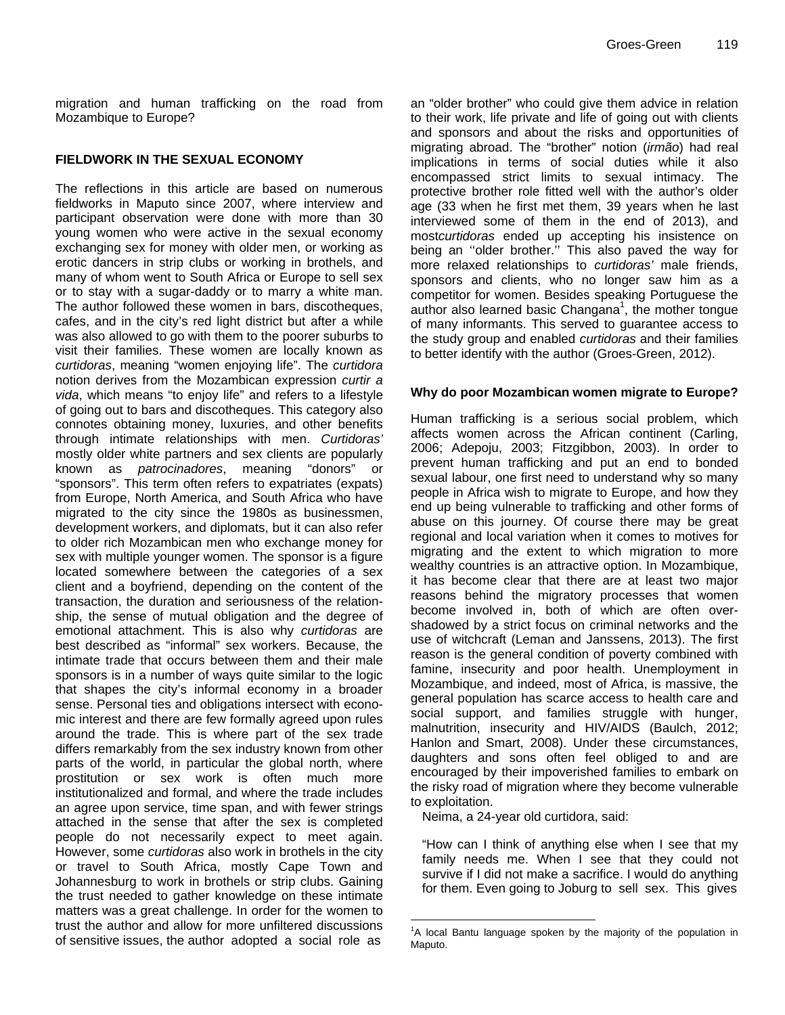migration and human trafficking on the road from Mozambique to Europe?

#### **FIELDWORK IN THE SEXUAL ECONOMY**

The reflections in this article are based on numerous fieldworks in Maputo since 2007, where interview and participant observation were done with more than 30 young women who were active in the sexual economy exchanging sex for money with older men, or working as erotic dancers in strip clubs or working in brothels, and many of whom went to South Africa or Europe to sell sex or to stay with a sugar-daddy or to marry a white man. The author followed these women in bars, discotheques, cafes, and in the city's red light district but after a while was also allowed to go with them to the poorer suburbs to visit their families. These women are locally known as *curtidoras*, meaning "women enjoying life". The *curtidora* notion derives from the Mozambican expression *curtir a vida*, which means "to enjoy life" and refers to a lifestyle of going out to bars and discotheques. This category also connotes obtaining money, luxuries, and other benefits through intimate relationships with men. *Curtidoras'* mostly older white partners and sex clients are popularly known as *patrocinadores*, meaning "donors" or "sponsors". This term often refers to expatriates (expats) from Europe, North America, and South Africa who have migrated to the city since the 1980s as businessmen, development workers, and diplomats, but it can also refer to older rich Mozambican men who exchange money for sex with multiple younger women. The sponsor is a figure located somewhere between the categories of a sex client and a boyfriend, depending on the content of the transaction, the duration and seriousness of the relationship, the sense of mutual obligation and the degree of emotional attachment. This is also why *curtidoras* are best described as "informal" sex workers. Because, the intimate trade that occurs between them and their male sponsors is in a number of ways quite similar to the logic that shapes the city's informal economy in a broader sense. Personal ties and obligations intersect with economic interest and there are few formally agreed upon rules around the trade. This is where part of the sex trade differs remarkably from the sex industry known from other parts of the world, in particular the global north, where prostitution or sex work is often much more institutionalized and formal, and where the trade includes an agree upon service, time span, and with fewer strings attached in the sense that after the sex is completed people do not necessarily expect to meet again. However, some *curtidoras* also work in brothels in the city or travel to South Africa, mostly Cape Town and Johannesburg to work in brothels or strip clubs. Gaining the trust needed to gather knowledge on these intimate matters was a great challenge. In order for the women to trust the author and allow for more unfiltered discussions of sensitive issues, the author adopted a social role as

an "older brother" who could give them advice in relation to their work, life private and life of going out with clients and sponsors and about the risks and opportunities of migrating abroad. The "brother" notion (*irmão*) had real implications in terms of social duties while it also encompassed strict limits to sexual intimacy. The protective brother role fitted well with the author's older age (33 when he first met them, 39 years when he last interviewed some of them in the end of 2013), and most*curtidoras* ended up accepting his insistence on being an ''older brother.'' This also paved the way for more relaxed relationships to *curtidoras'* male friends, sponsors and clients, who no longer saw him as a competitor for women. Besides speaking Portuguese the author also learned basic Changana<sup>1</sup>, the mother tongue of many informants. This served to guarantee access to the study group and enabled *curtidoras* and their families to better identify with the author (Groes-Green, 2012).

#### **Why do poor Mozambican women migrate to Europe?**

Human trafficking is a serious social problem, which affects women across the African continent (Carling, 2006; Adepoju, 2003; Fitzgibbon, 2003). In order to prevent human trafficking and put an end to bonded sexual labour, one first need to understand why so many people in Africa wish to migrate to Europe, and how they end up being vulnerable to trafficking and other forms of abuse on this journey. Of course there may be great regional and local variation when it comes to motives for migrating and the extent to which migration to more wealthy countries is an attractive option. In Mozambique, it has become clear that there are at least two major reasons behind the migratory processes that women become involved in, both of which are often overshadowed by a strict focus on criminal networks and the use of witchcraft (Leman and Janssens, 2013). The first reason is the general condition of poverty combined with famine, insecurity and poor health. Unemployment in Mozambique, and indeed, most of Africa, is massive, the general population has scarce access to health care and social support, and families struggle with hunger, malnutrition, insecurity and HIV/AIDS (Baulch, 2012; Hanlon and Smart, 2008). Under these circumstances, daughters and sons often feel obliged to and are encouraged by their impoverished families to embark on the risky road of migration where they become vulnerable to exploitation.

Neima, a 24-year old curtidora, said:

 $\overline{a}$ 

"How can I think of anything else when I see that my family needs me. When I see that they could not survive if I did not make a sacrifice. I would do anything for them. Even going to Joburg to sell sex. This gives

<sup>&</sup>lt;sup>1</sup>A local Bantu language spoken by the majority of the population in Maputo.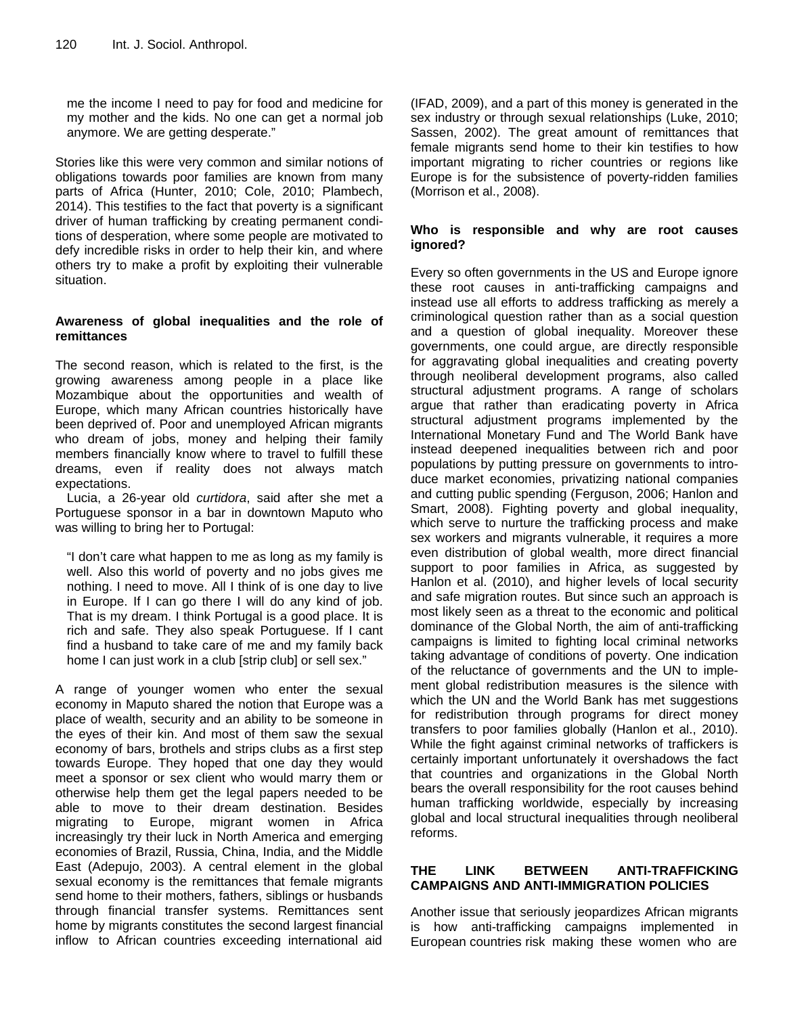me the income I need to pay for food and medicine for my mother and the kids. No one can get a normal job anymore. We are getting desperate."

Stories like this were very common and similar notions of obligations towards poor families are known from many parts of Africa (Hunter, 2010; Cole, 2010; Plambech, 2014). This testifies to the fact that poverty is a significant driver of human trafficking by creating permanent conditions of desperation, where some people are motivated to defy incredible risks in order to help their kin, and where others try to make a profit by exploiting their vulnerable situation.

#### **Awareness of global inequalities and the role of remittances**

The second reason, which is related to the first, is the growing awareness among people in a place like Mozambique about the opportunities and wealth of Europe, which many African countries historically have been deprived of. Poor and unemployed African migrants who dream of jobs, money and helping their family members financially know where to travel to fulfill these dreams, even if reality does not always match expectations.

Lucia, a 26-year old *curtidora*, said after she met a Portuguese sponsor in a bar in downtown Maputo who was willing to bring her to Portugal:

"I don't care what happen to me as long as my family is well. Also this world of poverty and no jobs gives me nothing. I need to move. All I think of is one day to live in Europe. If I can go there I will do any kind of job. That is my dream. I think Portugal is a good place. It is rich and safe. They also speak Portuguese. If I cant find a husband to take care of me and my family back home I can just work in a club [strip club] or sell sex."

A range of younger women who enter the sexual economy in Maputo shared the notion that Europe was a place of wealth, security and an ability to be someone in the eyes of their kin. And most of them saw the sexual economy of bars, brothels and strips clubs as a first step towards Europe. They hoped that one day they would meet a sponsor or sex client who would marry them or otherwise help them get the legal papers needed to be able to move to their dream destination. Besides migrating to Europe, migrant women in Africa increasingly try their luck in North America and emerging economies of Brazil, Russia, China, India, and the Middle East (Adepujo, 2003). A central element in the global sexual economy is the remittances that female migrants send home to their mothers, fathers, siblings or husbands through financial transfer systems. Remittances sent home by migrants constitutes the second largest financial inflow to African countries exceeding international aid

(IFAD, 2009), and a part of this money is generated in the sex industry or through sexual relationships (Luke, 2010; Sassen, 2002). The great amount of remittances that female migrants send home to their kin testifies to how important migrating to richer countries or regions like Europe is for the subsistence of poverty-ridden families (Morrison et al., 2008).

#### **Who is responsible and why are root causes ignored?**

Every so often governments in the US and Europe ignore these root causes in anti-trafficking campaigns and instead use all efforts to address trafficking as merely a criminological question rather than as a social question and a question of global inequality. Moreover these governments, one could argue, are directly responsible for aggravating global inequalities and creating poverty through neoliberal development programs, also called structural adjustment programs. A range of scholars argue that rather than eradicating poverty in Africa structural adjustment programs implemented by the International Monetary Fund and The World Bank have instead deepened inequalities between rich and poor populations by putting pressure on governments to introduce market economies, privatizing national companies and cutting public spending (Ferguson, 2006; Hanlon and Smart, 2008). Fighting poverty and global inequality, which serve to nurture the trafficking process and make sex workers and migrants vulnerable, it requires a more even distribution of global wealth, more direct financial support to poor families in Africa, as suggested by Hanlon et al. (2010), and higher levels of local security and safe migration routes. But since such an approach is most likely seen as a threat to the economic and political dominance of the Global North, the aim of anti-trafficking campaigns is limited to fighting local criminal networks taking advantage of conditions of poverty. One indication of the reluctance of governments and the UN to implement global redistribution measures is the silence with which the UN and the World Bank has met suggestions for redistribution through programs for direct money transfers to poor families globally (Hanlon et al., 2010). While the fight against criminal networks of traffickers is certainly important unfortunately it overshadows the fact that countries and organizations in the Global North bears the overall responsibility for the root causes behind human trafficking worldwide, especially by increasing global and local structural inequalities through neoliberal reforms.

#### **THE LINK BETWEEN ANTI-TRAFFICKING CAMPAIGNS AND ANTI-IMMIGRATION POLICIES**

Another issue that seriously jeopardizes African migrants is how anti-trafficking campaigns implemented in European countries risk making these women who are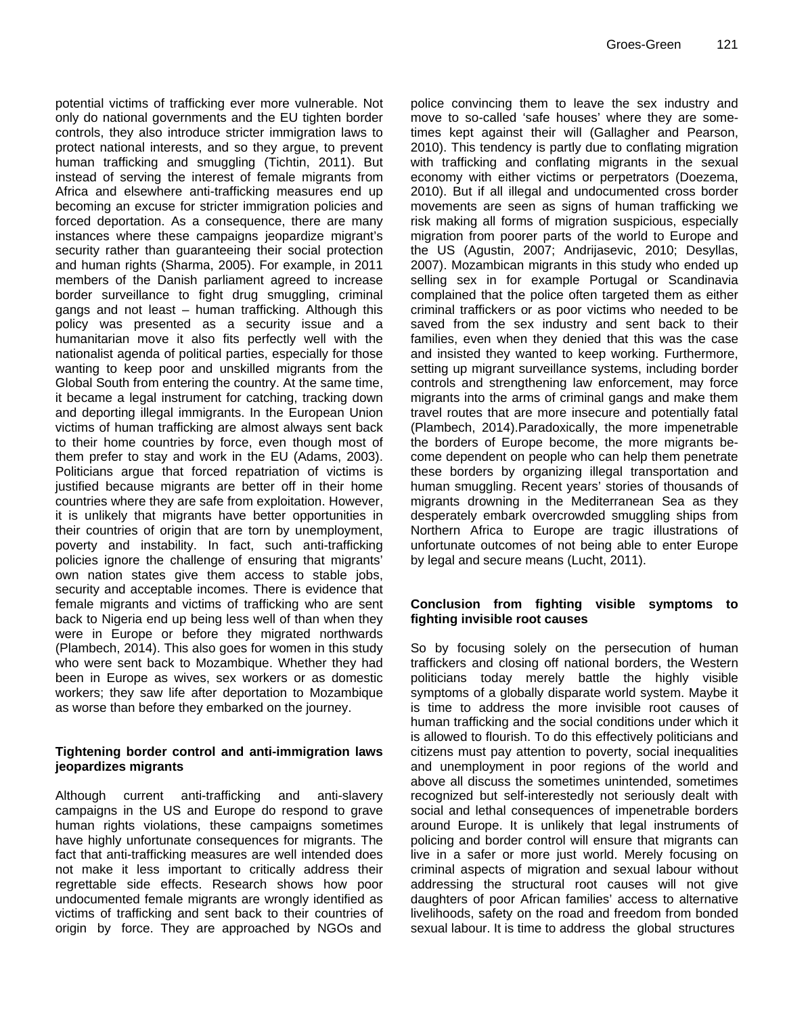potential victims of trafficking ever more vulnerable. Not only do national governments and the EU tighten border controls, they also introduce stricter immigration laws to protect national interests, and so they argue, to prevent human trafficking and smuggling (Tichtin, 2011). But instead of serving the interest of female migrants from Africa and elsewhere anti-trafficking measures end up becoming an excuse for stricter immigration policies and forced deportation. As a consequence, there are many instances where these campaigns jeopardize migrant's security rather than quaranteeing their social protection and human rights (Sharma, 2005). For example, in 2011 members of the Danish parliament agreed to increase border surveillance to fight drug smuggling, criminal gangs and not least – human trafficking. Although this policy was presented as a security issue and a humanitarian move it also fits perfectly well with the nationalist agenda of political parties, especially for those wanting to keep poor and unskilled migrants from the Global South from entering the country. At the same time, it became a legal instrument for catching, tracking down and deporting illegal immigrants. In the European Union victims of human trafficking are almost always sent back to their home countries by force, even though most of them prefer to stay and work in the EU (Adams, 2003). Politicians argue that forced repatriation of victims is justified because migrants are better off in their home countries where they are safe from exploitation. However, it is unlikely that migrants have better opportunities in their countries of origin that are torn by unemployment, poverty and instability. In fact, such anti-trafficking policies ignore the challenge of ensuring that migrants' own nation states give them access to stable jobs, security and acceptable incomes. There is evidence that female migrants and victims of trafficking who are sent back to Nigeria end up being less well of than when they were in Europe or before they migrated northwards (Plambech, 2014). This also goes for women in this study who were sent back to Mozambique. Whether they had been in Europe as wives, sex workers or as domestic workers; they saw life after deportation to Mozambique as worse than before they embarked on the journey.

#### **Tightening border control and anti-immigration laws jeopardizes migrants**

Although current anti-trafficking and anti-slavery campaigns in the US and Europe do respond to grave human rights violations, these campaigns sometimes have highly unfortunate consequences for migrants. The fact that anti-trafficking measures are well intended does not make it less important to critically address their regrettable side effects. Research shows how poor undocumented female migrants are wrongly identified as victims of trafficking and sent back to their countries of origin by force. They are approached by NGOs and

police convincing them to leave the sex industry and move to so-called 'safe houses' where they are sometimes kept against their will (Gallagher and Pearson, 2010). This tendency is partly due to conflating migration with trafficking and conflating migrants in the sexual economy with either victims or perpetrators (Doezema, 2010). But if all illegal and undocumented cross border movements are seen as signs of human trafficking we risk making all forms of migration suspicious, especially migration from poorer parts of the world to Europe and the US (Agustin, 2007; Andrijasevic, 2010; Desyllas, 2007). Mozambican migrants in this study who ended up selling sex in for example Portugal or Scandinavia complained that the police often targeted them as either criminal traffickers or as poor victims who needed to be saved from the sex industry and sent back to their families, even when they denied that this was the case and insisted they wanted to keep working. Furthermore, setting up migrant surveillance systems, including border controls and strengthening law enforcement, may force migrants into the arms of criminal gangs and make them travel routes that are more insecure and potentially fatal (Plambech, 2014).Paradoxically, the more impenetrable the borders of Europe become, the more migrants become dependent on people who can help them penetrate these borders by organizing illegal transportation and human smuggling. Recent years' stories of thousands of migrants drowning in the Mediterranean Sea as they desperately embark overcrowded smuggling ships from Northern Africa to Europe are tragic illustrations of unfortunate outcomes of not being able to enter Europe by legal and secure means (Lucht, 2011).

#### **Conclusion from fighting visible symptoms to fighting invisible root causes**

So by focusing solely on the persecution of human traffickers and closing off national borders, the Western politicians today merely battle the highly visible symptoms of a globally disparate world system. Maybe it is time to address the more invisible root causes of human trafficking and the social conditions under which it is allowed to flourish. To do this effectively politicians and citizens must pay attention to poverty, social inequalities and unemployment in poor regions of the world and above all discuss the sometimes unintended, sometimes recognized but self-interestedly not seriously dealt with social and lethal consequences of impenetrable borders around Europe. It is unlikely that legal instruments of policing and border control will ensure that migrants can live in a safer or more just world. Merely focusing on criminal aspects of migration and sexual labour without addressing the structural root causes will not give daughters of poor African families' access to alternative livelihoods, safety on the road and freedom from bonded sexual labour. It is time to address the global structures